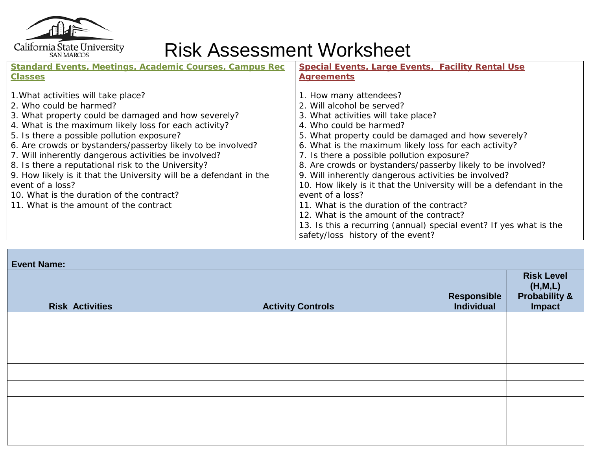

## California State University<br>
Risk Assessment Worksheet

| <b>Standard Events, Meetings, Academic Courses, Campus Rec</b>     | <b>Special Events, Large Events, Facility Rental Use</b>            |  |  |  |
|--------------------------------------------------------------------|---------------------------------------------------------------------|--|--|--|
| <b>Classes</b>                                                     | <b>Agreements</b>                                                   |  |  |  |
|                                                                    |                                                                     |  |  |  |
| 1. What activities will take place?                                | 1. How many attendees?                                              |  |  |  |
| 2. Who could be harmed?                                            | 2. Will alcohol be served?                                          |  |  |  |
| 3. What property could be damaged and how severely?                | 3. What activities will take place?                                 |  |  |  |
| 4. What is the maximum likely loss for each activity?              | 4. Who could be harmed?                                             |  |  |  |
| 5. Is there a possible pollution exposure?                         | 5. What property could be damaged and how severely?                 |  |  |  |
| 6. Are crowds or bystanders/passerby likely to be involved?        | 6. What is the maximum likely loss for each activity?               |  |  |  |
| 7. Will inherently dangerous activities be involved?               | 7. Is there a possible pollution exposure?                          |  |  |  |
| 8. Is there a reputational risk to the University?                 | 8. Are crowds or bystanders/passerby likely to be involved?         |  |  |  |
| 9. How likely is it that the University will be a defendant in the | 9. Will inherently dangerous activities be involved?                |  |  |  |
| event of a loss?                                                   | 10. How likely is it that the University will be a defendant in the |  |  |  |
| 10. What is the duration of the contract?                          | event of a loss?                                                    |  |  |  |
| 11. What is the amount of the contract                             | 11. What is the duration of the contract?                           |  |  |  |
|                                                                    | 12. What is the amount of the contract?                             |  |  |  |
|                                                                    | 13. Is this a recurring (annual) special event? If yes what is the  |  |  |  |
|                                                                    | safety/loss history of the event?                                   |  |  |  |

| <b>Event Name:</b>     |                          |             |                                                         |  |  |  |
|------------------------|--------------------------|-------------|---------------------------------------------------------|--|--|--|
| <b>Risk Activities</b> | <b>Activity Controls</b> | Responsible | <b>Risk Level</b><br>(H,M,L)<br>Probability &<br>Impact |  |  |  |
|                        |                          |             |                                                         |  |  |  |
|                        |                          |             |                                                         |  |  |  |
|                        |                          |             |                                                         |  |  |  |
|                        |                          |             |                                                         |  |  |  |
|                        |                          |             |                                                         |  |  |  |
|                        |                          |             |                                                         |  |  |  |
|                        |                          |             |                                                         |  |  |  |
|                        |                          |             |                                                         |  |  |  |